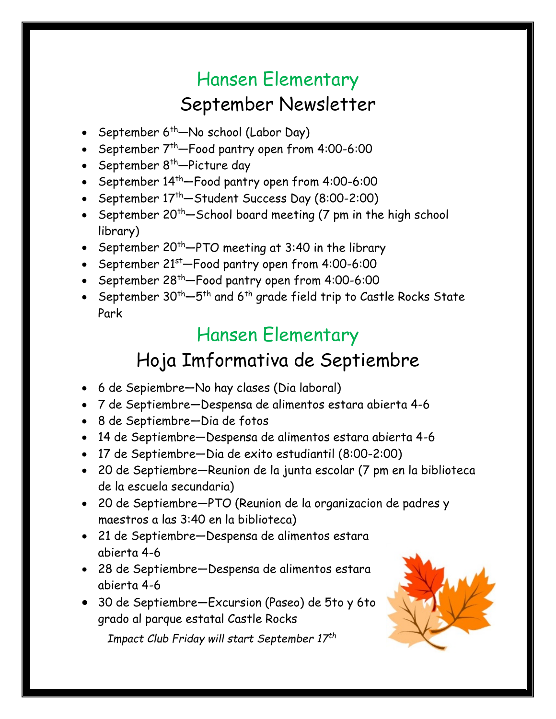# Hansen Elementary September Newsletter

- September  $6^{th}$ —No school (Labor Day)
- September  $7^{th}$ -Food pantry open from 4:00-6:00
- September  $8^{th}$ -Picture day
- September  $14^{th}$ -Food pantry open from  $4:00-6:00$
- September  $17<sup>th</sup>$ -Student Success Day (8:00-2:00)
- September 20<sup>th</sup>—School board meeting (7 pm in the high school library)
- September 20<sup>th</sup>—PTO meeting at 3:40 in the library
- September  $21^{st}$ -Food pantry open from  $4:00-6:00$
- September  $28^{th}$ -Food pantry open from 4:00-6:00
- September  $30^{th}-5^{th}$  and  $6^{th}$  grade field trip to Castle Rocks State Park

## Hansen Elementary

## Hoja Imformativa de Septiembre

- 6 de Sepiembre—No hay clases (Dia laboral)
- 7 de Septiembre—Despensa de alimentos estara abierta 4-6
- 8 de Septiembre—Dia de fotos
- 14 de Septiembre—Despensa de alimentos estara abierta 4-6
- 17 de Septiembre—Dia de exito estudiantil (8:00-2:00)
- 20 de Septiembre—Reunion de la junta escolar (7 pm en la biblioteca de la escuela secundaria)
- 20 de Septiembre—PTO (Reunion de la organizacion de padres y maestros a las 3:40 en la biblioteca)
- 21 de Septiembre—Despensa de alimentos estara abierta 4-6
- 28 de Septiembre—Despensa de alimentos estara abierta 4-6
- 30 de Septiembre—Excursion (Paseo) de 5to y 6to grado al parque estatal Castle Rocks

*Impact Club Friday will start September 17th*